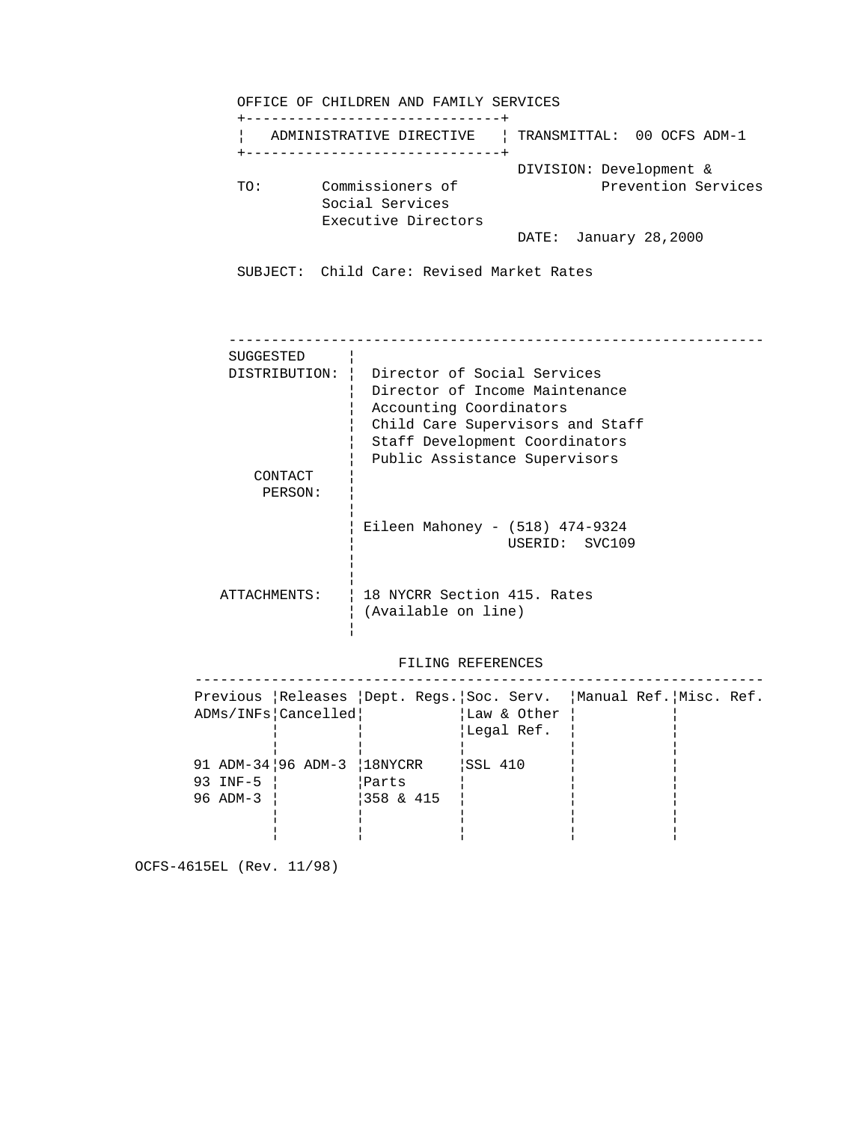OFFICE OF CHILDREN AND FAMILY SERVICES +------------------------------+ ¦ ADMINISTRATIVE DIRECTIVE ¦ TRANSMITTAL: 00 OCFS ADM-1 +------------------------------+ DIVISION: Development & TO: Commissioners of Prevention Services Social Services Executive Directors DATE: January 28,2000 SUBJECT: Child Care: Revised Market Rates --------------------------------------------------------------- SUGGESTED ¦ DISTRIBUTION: ¦ Director of Social Services ¦ Director of Income Maintenance ¦ Accounting Coordinators ¦ Child Care Supervisors and Staff ¦ Staff Development Coordinators ¦ Public Assistance Supervisors CONTACT | PERSON: ¦ en de la construction de la construction de la construction de la construction de la construction de la construction de la construction de la construction de la construction de la construction de la construction de la con ¦ Eileen Mahoney - (518) 474-9324 ¦ USERID: SVC109 en de la construction de la construction de la construction de la construction de la construction de la construction de la construction de la construction de la construction de la construction de la construction de la con en de la construction de la construction de la construction de la construction de la construction de la construction de la construction de la construction de la construction de la construction de la construction de la con ATTACHMENTS: | 18 NYCRR Section 415. Rates ¦ (Available on line) en de la construction de la construction de la construction de la construction de la construction de la construction de la construction de la construction de la construction de la construction de la construction de la con

# FILING REFERENCES

| Previous Releases Dept. Reqs. Soc. Serv. Manual Ref. Misc. Ref.<br>ADMs/INFs   Cancelled  <br>Law & Other<br>Legal Ref.<br>91 ADM-34   96 ADM-3   18NYCRR<br> SSL 410<br>93 INF-5<br>Parts<br>$1358$ & 415<br>96 ADM-3 |  |  |  |  |
|------------------------------------------------------------------------------------------------------------------------------------------------------------------------------------------------------------------------|--|--|--|--|
|                                                                                                                                                                                                                        |  |  |  |  |
|                                                                                                                                                                                                                        |  |  |  |  |
|                                                                                                                                                                                                                        |  |  |  |  |
|                                                                                                                                                                                                                        |  |  |  |  |
|                                                                                                                                                                                                                        |  |  |  |  |
|                                                                                                                                                                                                                        |  |  |  |  |
|                                                                                                                                                                                                                        |  |  |  |  |
|                                                                                                                                                                                                                        |  |  |  |  |
|                                                                                                                                                                                                                        |  |  |  |  |

OCFS-4615EL (Rev. 11/98)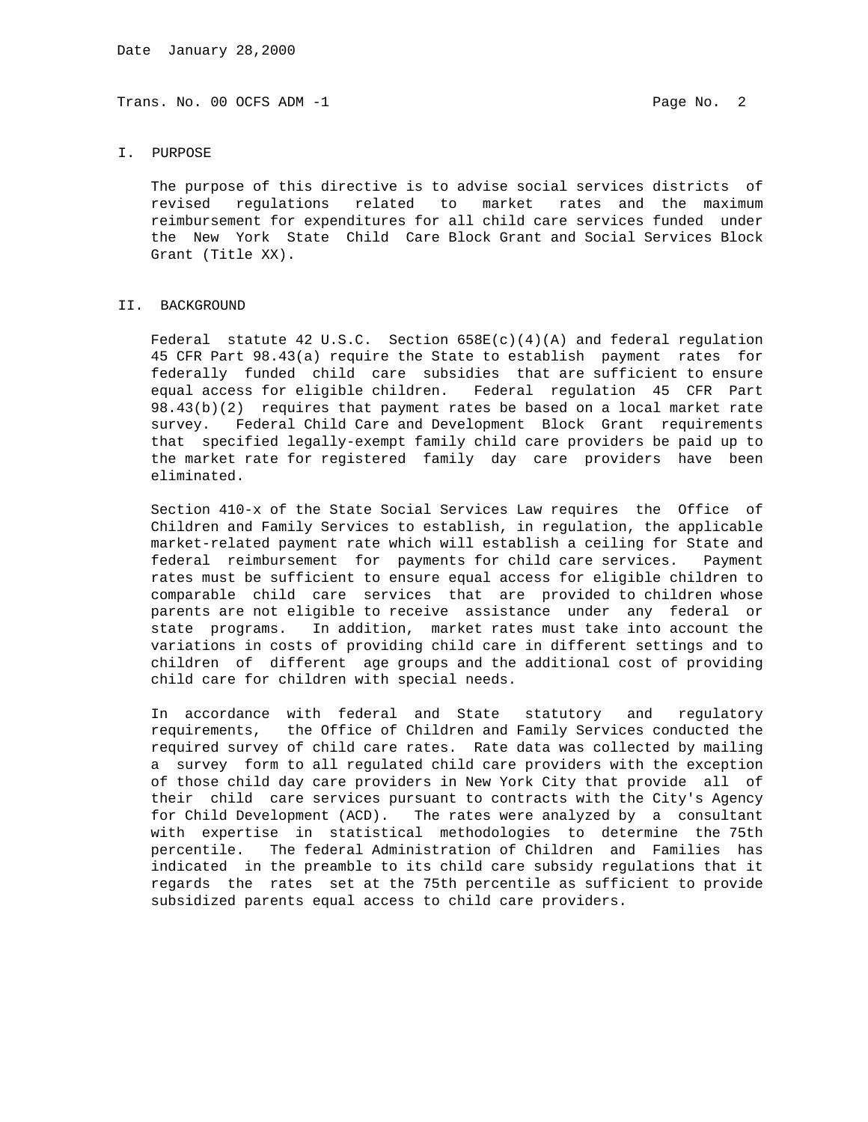#### I. PURPOSE

 The purpose of this directive is to advise social services districts of revised regulations related to market rates and the maximum reimbursement for expenditures for all child care services funded under the New York State Child Care Block Grant and Social Services Block Grant (Title XX).

## II. BACKGROUND

Federal statute 42 U.S.C. Section  $658E(c)(4)(A)$  and federal requlation 45 CFR Part 98.43(a) require the State to establish payment rates for federally funded child care subsidies that are sufficient to ensure equal access for eligible children. Federal regulation 45 CFR Part 98.43(b)(2) requires that payment rates be based on a local market rate survey. Federal Child Care and Development Block Grant requirements that specified legally-exempt family child care providers be paid up to the market rate for registered family day care providers have been eliminated.

 Section 410-x of the State Social Services Law requires the Office of Children and Family Services to establish, in regulation, the applicable market-related payment rate which will establish a ceiling for State and federal reimbursement for payments for child care services. Payment rates must be sufficient to ensure equal access for eligible children to comparable child care services that are provided to children whose parents are not eligible to receive assistance under any federal or state programs. In addition, market rates must take into account the variations in costs of providing child care in different settings and to children of different age groups and the additional cost of providing child care for children with special needs.

 In accordance with federal and State statutory and regulatory requirements, the Office of Children and Family Services conducted the required survey of child care rates. Rate data was collected by mailing a survey form to all regulated child care providers with the exception of those child day care providers in New York City that provide all of their child care services pursuant to contracts with the City's Agency for Child Development (ACD). The rates were analyzed by a consultant with expertise in statistical methodologies to determine the 75th percentile. The federal Administration of Children and Families has indicated in the preamble to its child care subsidy regulations that it regards the rates set at the 75th percentile as sufficient to provide subsidized parents equal access to child care providers.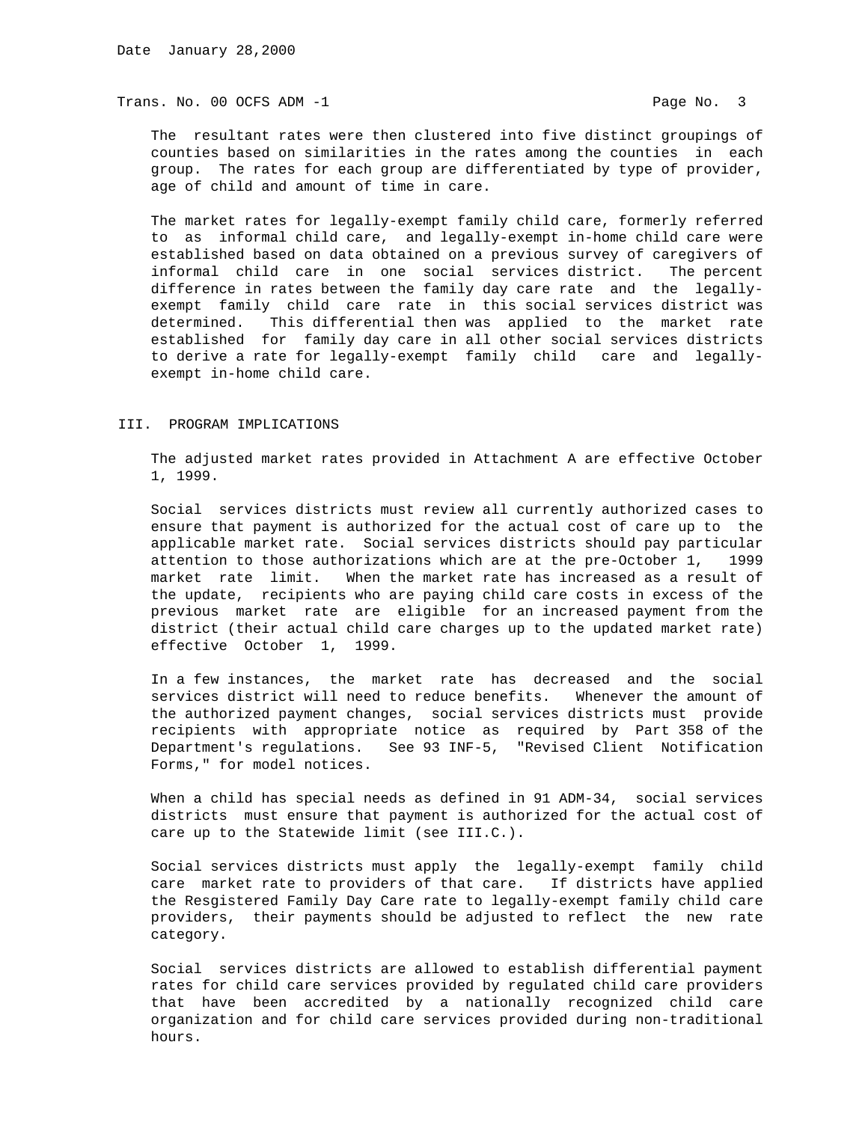The resultant rates were then clustered into five distinct groupings of counties based on similarities in the rates among the counties in each group. The rates for each group are differentiated by type of provider, age of child and amount of time in care.

 The market rates for legally-exempt family child care, formerly referred to as informal child care, and legally-exempt in-home child care were established based on data obtained on a previous survey of caregivers of informal child care in one social services district. The percent difference in rates between the family day care rate and the legally exempt family child care rate in this social services district was determined. This differential then was applied to the market rate established for family day care in all other social services districts to derive a rate for legally-exempt family child care and legally exempt in-home child care.

## III. PROGRAM IMPLICATIONS

 The adjusted market rates provided in Attachment A are effective October 1, 1999.

 Social services districts must review all currently authorized cases to ensure that payment is authorized for the actual cost of care up to the applicable market rate. Social services districts should pay particular attention to those authorizations which are at the pre-October 1, 1999 market rate limit. When the market rate has increased as a result of the update, recipients who are paying child care costs in excess of the previous market rate are eligible for an increased payment from the district (their actual child care charges up to the updated market rate) effective October 1, 1999.

 In a few instances, the market rate has decreased and the social services district will need to reduce benefits. Whenever the amount of the authorized payment changes, social services districts must provide recipients with appropriate notice as required by Part 358 of the Department's regulations. See 93 INF-5, "Revised Client Notification Forms," for model notices.

 When a child has special needs as defined in 91 ADM-34, social services districts must ensure that payment is authorized for the actual cost of care up to the Statewide limit (see III.C.).

 Social services districts must apply the legally-exempt family child care market rate to providers of that care. If districts have applied the Resgistered Family Day Care rate to legally-exempt family child care providers, their payments should be adjusted to reflect the new rate category.

 Social services districts are allowed to establish differential payment rates for child care services provided by regulated child care providers that have been accredited by a nationally recognized child care organization and for child care services provided during non-traditional hours.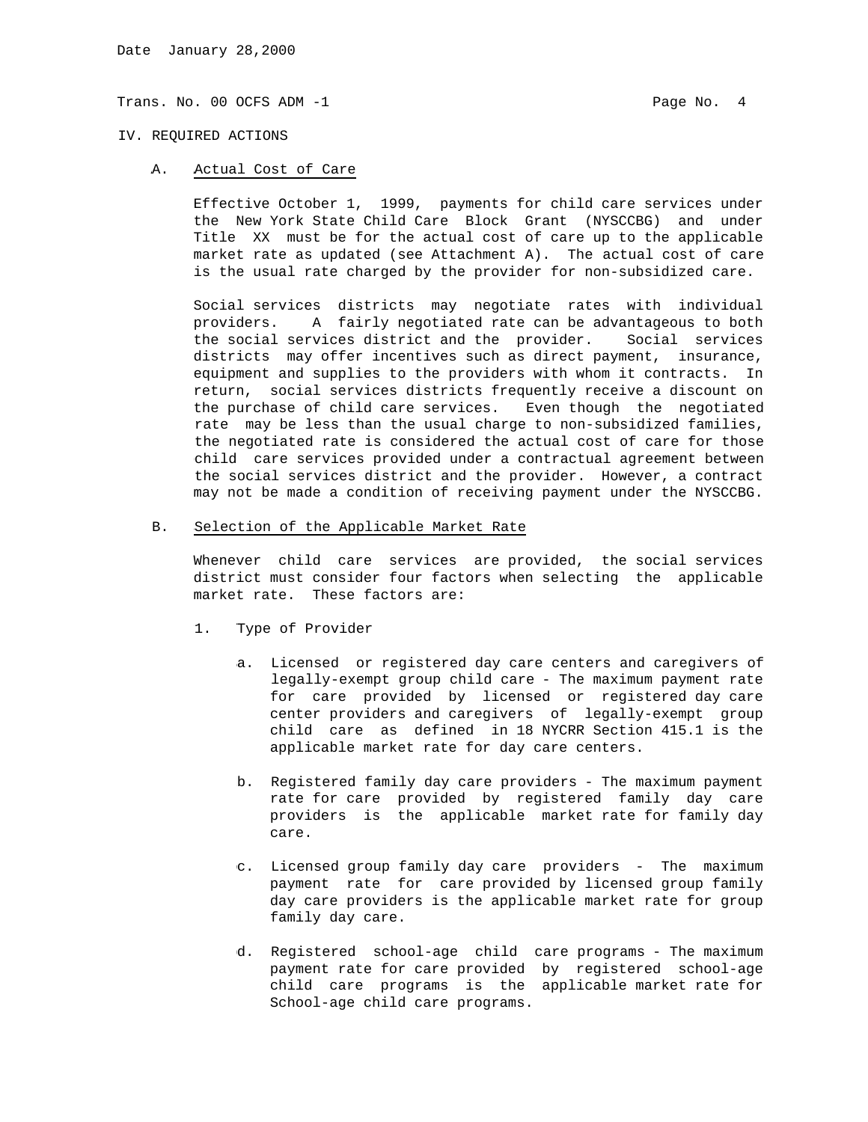### IV. REQUIRED ACTIONS

A. Actual Cost of Care

 Effective October 1, 1999, payments for child care services under the New York State Child Care Block Grant (NYSCCBG) and under Title XX must be for the actual cost of care up to the applicable market rate as updated (see Attachment A). The actual cost of care is the usual rate charged by the provider for non-subsidized care.

 Social services districts may negotiate rates with individual providers. A fairly negotiated rate can be advantageous to both the social services district and the provider. Social services districts may offer incentives such as direct payment, insurance, equipment and supplies to the providers with whom it contracts. In return, social services districts frequently receive a discount on the purchase of child care services. Even though the negotiated rate may be less than the usual charge to non-subsidized families, the negotiated rate is considered the actual cost of care for those child care services provided under a contractual agreement between the social services district and the provider. However, a contract may not be made a condition of receiving payment under the NYSCCBG.

B. Selection of the Applicable Market Rate

 Whenever child care services are provided, the social services district must consider four factors when selecting the applicable market rate. These factors are:

- 1. Type of Provider
	- a. Licensed or registered day care centers and caregivers of legally-exempt group child care - The maximum payment rate for care provided by licensed or registered day care center providers and caregivers of legally-exempt group child care as defined in 18 NYCRR Section 415.1 is the applicable market rate for day care centers.
	- b. Registered family day care providers The maximum payment rate for care provided by registered family day care providers is the applicable market rate for family day care.
	- c. Licensed group family day care providers The maximum payment rate for care provided by licensed group family day care providers is the applicable market rate for group family day care.
	- d. Registered school-age child care programs The maximum payment rate for care provided by registered school-age child care programs is the applicable market rate for School-age child care programs.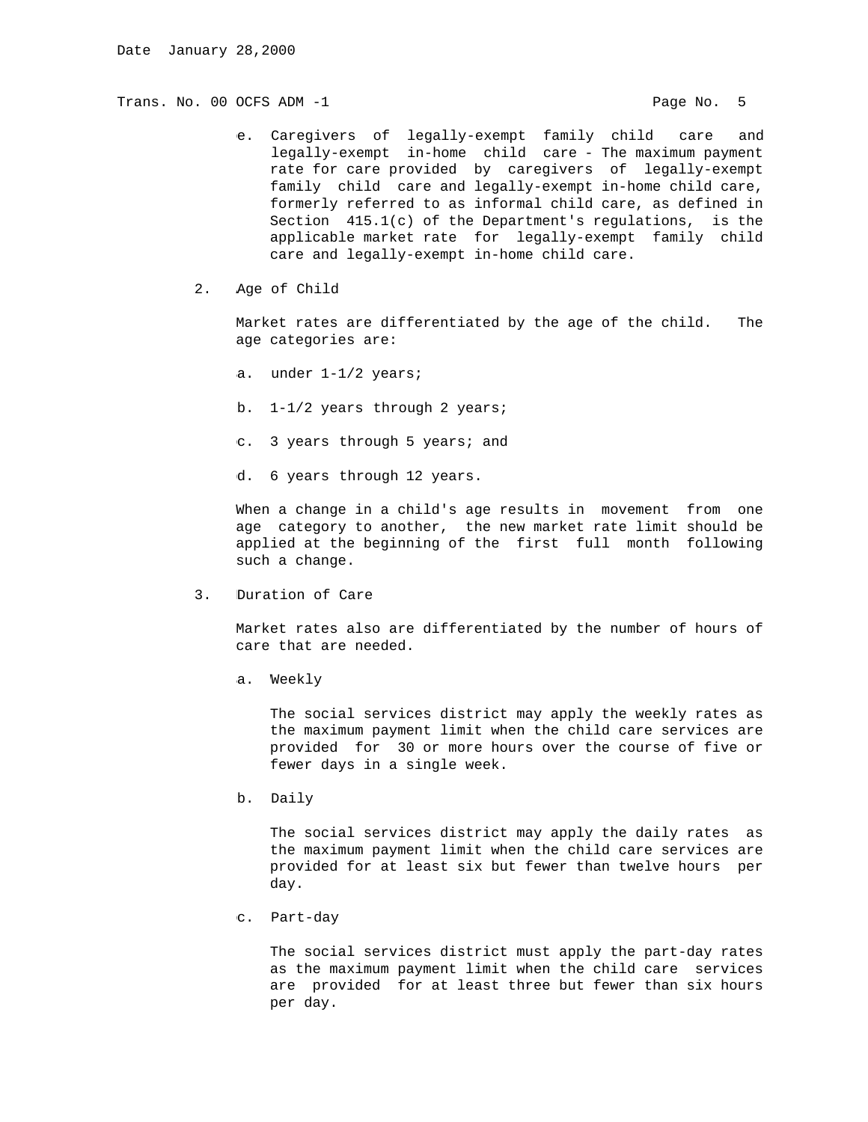- e. Caregivers of legally-exempt family child care and legally-exempt in-home child care - The maximum payment rate for care provided by caregivers of legally-exempt family child care and legally-exempt in-home child care, formerly referred to as informal child care, as defined in Section 415.1(c) of the Department's regulations, is the applicable market rate for legally-exempt family child care and legally-exempt in-home child care.
- 2. Age of Child

 Market rates are differentiated by the age of the child. The age categories are:

- a. under 1-1/2 years;
- b. 1-1/2 years through 2 years;
- c. 3 years through 5 years; and
- d. 6 years through 12 years.

 When a change in a child's age results in movement from one age category to another, the new market rate limit should be applied at the beginning of the first full month following such a change.

3. Duration of Care

 Market rates also are differentiated by the number of hours of care that are needed.

a. Weekly

 The social services district may apply the weekly rates as the maximum payment limit when the child care services are provided for 30 or more hours over the course of five or fewer days in a single week.

b. Daily

 The social services district may apply the daily rates as the maximum payment limit when the child care services are provided for at least six but fewer than twelve hours per day.

c. Part-day

 The social services district must apply the part-day rates as the maximum payment limit when the child care services are provided for at least three but fewer than six hours per day.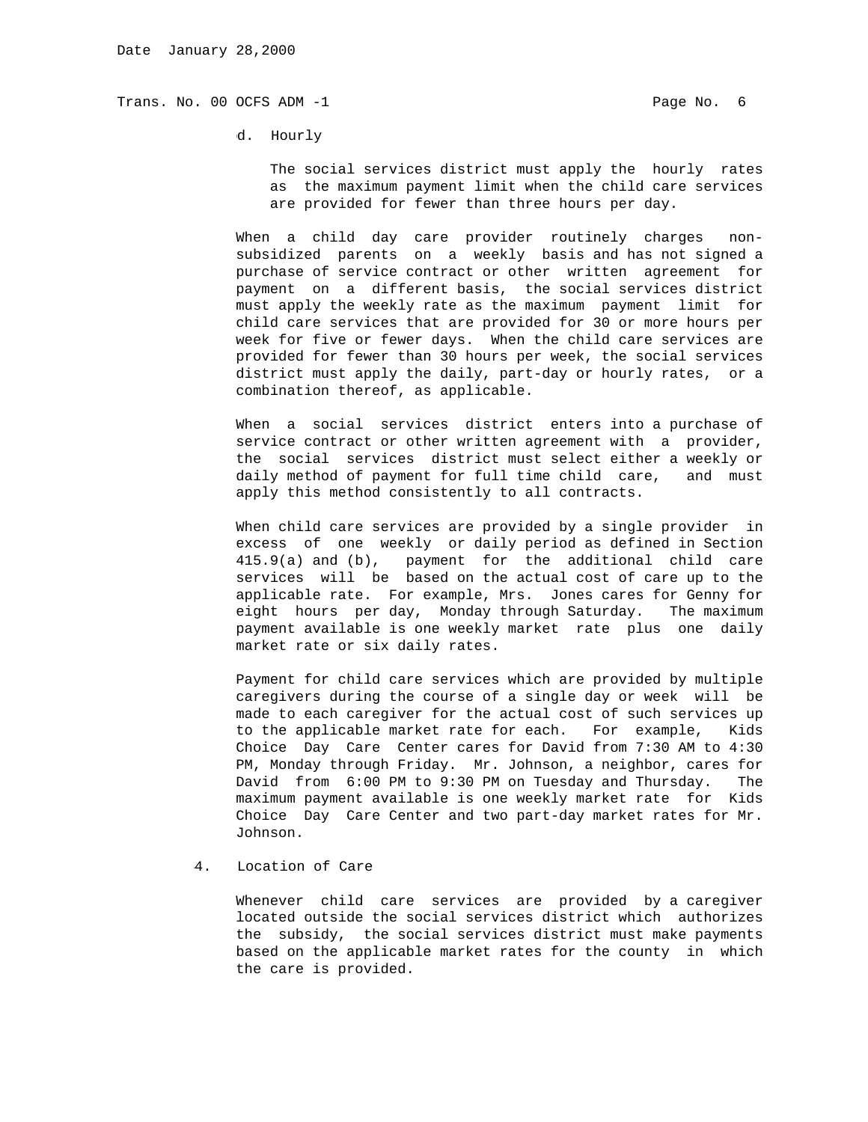d. Hourly

 The social services district must apply the hourly rates as the maximum payment limit when the child care services are provided for fewer than three hours per day.

 When a child day care provider routinely charges non subsidized parents on a weekly basis and has not signed a purchase of service contract or other written agreement for payment on a different basis, the social services district must apply the weekly rate as the maximum payment limit for child care services that are provided for 30 or more hours per week for five or fewer days. When the child care services are provided for fewer than 30 hours per week, the social services district must apply the daily, part-day or hourly rates, or a combination thereof, as applicable.

 When a social services district enters into a purchase of service contract or other written agreement with a provider, the social services district must select either a weekly or daily method of payment for full time child care, and must apply this method consistently to all contracts.

 When child care services are provided by a single provider in excess of one weekly or daily period as defined in Section 415.9(a) and (b), payment for the additional child care services will be based on the actual cost of care up to the applicable rate. For example, Mrs. Jones cares for Genny for eight hours per day, Monday through Saturday. The maximum payment available is one weekly market rate plus one daily market rate or six daily rates.

 Payment for child care services which are provided by multiple caregivers during the course of a single day or week will be made to each caregiver for the actual cost of such services up to the applicable market rate for each. For example, Kids Choice Day Care Center cares for David from 7:30 AM to 4:30 PM, Monday through Friday. Mr. Johnson, a neighbor, cares for David from 6:00 PM to 9:30 PM on Tuesday and Thursday. The maximum payment available is one weekly market rate for Kids Choice Day Care Center and two part-day market rates for Mr. Johnson.

4. Location of Care

 Whenever child care services are provided by a caregiver located outside the social services district which authorizes the subsidy, the social services district must make payments based on the applicable market rates for the county in which the care is provided.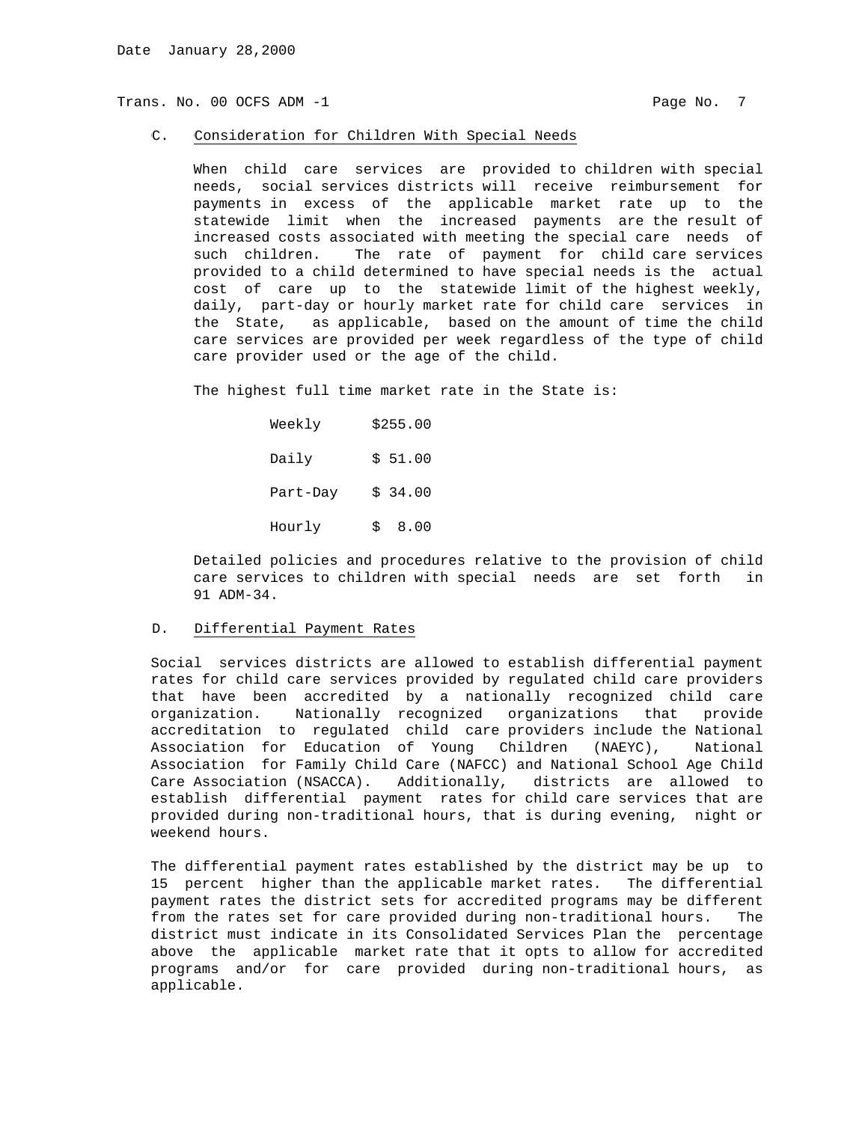#### C. Consideration for Children With Special Needs

 When child care services are provided to children with special needs, social services districts will receive reimbursement for payments in excess of the applicable market rate up to the statewide limit when the increased payments are the result of increased costs associated with meeting the special care needs of such children. The rate of payment for child care services provided to a child determined to have special needs is the actual cost of care up to the statewide limit of the highest weekly, daily, part-day or hourly market rate for child care services in the State, as applicable, based on the amount of time the child care services are provided per week regardless of the type of child care provider used or the age of the child.

The highest full time market rate in the State is:

| Weekly   | \$255.00  |
|----------|-----------|
| Daily    | \$51.00   |
| Part-Day | \$34.00   |
| Hourly   | 8.00<br>Ŝ |

 Detailed policies and procedures relative to the provision of child care services to children with special needs are set forth in 91 ADM-34.

## D. Differential Payment Rates

 Social services districts are allowed to establish differential payment rates for child care services provided by regulated child care providers that have been accredited by a nationally recognized child care organization. Nationally recognized organizations that provide accreditation to regulated child care providers include the National Association for Education of Young Children (NAEYC), National Association for Family Child Care (NAFCC) and National School Age Child Care Association (NSACCA). Additionally, districts are allowed to establish differential payment rates for child care services that are provided during non-traditional hours, that is during evening, night or weekend hours.

 The differential payment rates established by the district may be up to 15 percent higher than the applicable market rates. The differential payment rates the district sets for accredited programs may be different from the rates set for care provided during non-traditional hours. The district must indicate in its Consolidated Services Plan the percentage above the applicable market rate that it opts to allow for accredited programs and/or for care provided during non-traditional hours, as applicable.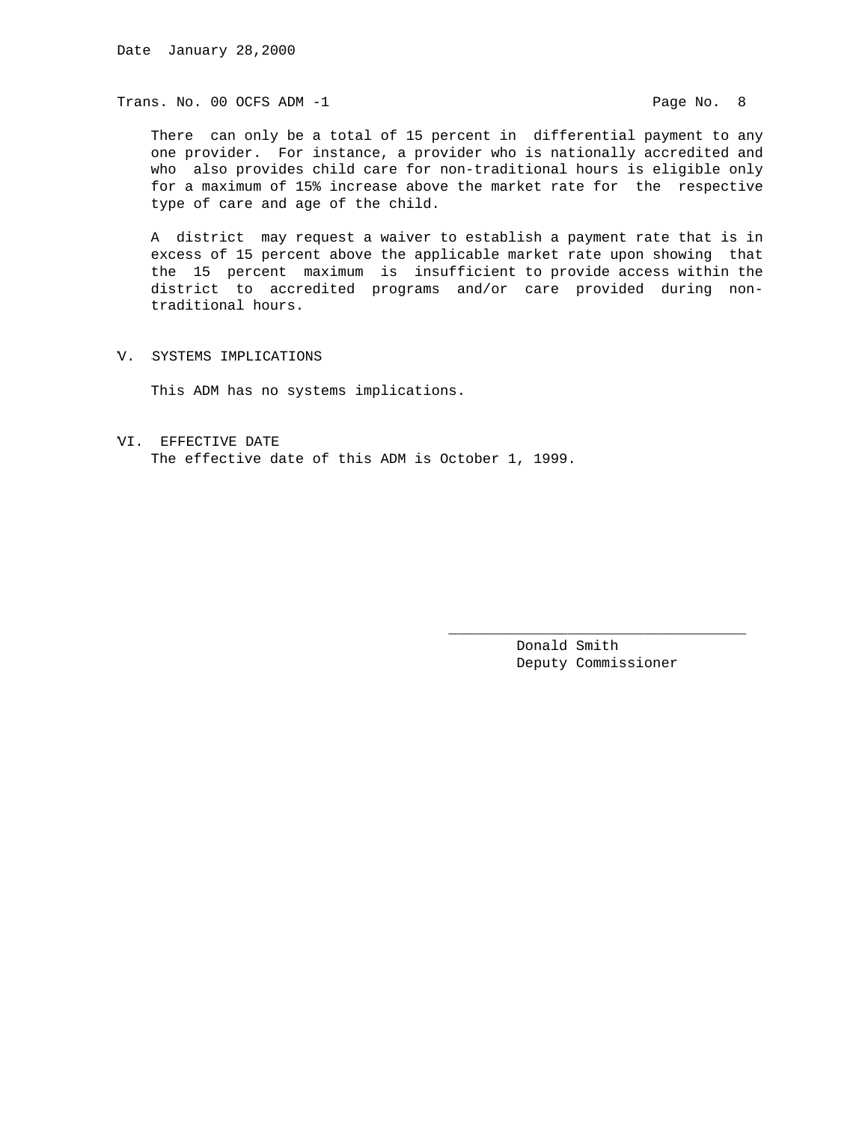There can only be a total of 15 percent in differential payment to any one provider. For instance, a provider who is nationally accredited and who also provides child care for non-traditional hours is eligible only for a maximum of 15% increase above the market rate for the respective type of care and age of the child.

 A district may request a waiver to establish a payment rate that is in excess of 15 percent above the applicable market rate upon showing that the 15 percent maximum is insufficient to provide access within the district to accredited programs and/or care provided during non traditional hours.

 $\overline{\phantom{a}}$  , and the state of the state of the state of the state of the state of the state of the state of the state of the state of the state of the state of the state of the state of the state of the state of the stat

V. SYSTEMS IMPLICATIONS

This ADM has no systems implications.

VI. EFFECTIVE DATE The effective date of this ADM is October 1, 1999.

> Donald Smith Deputy Commissioner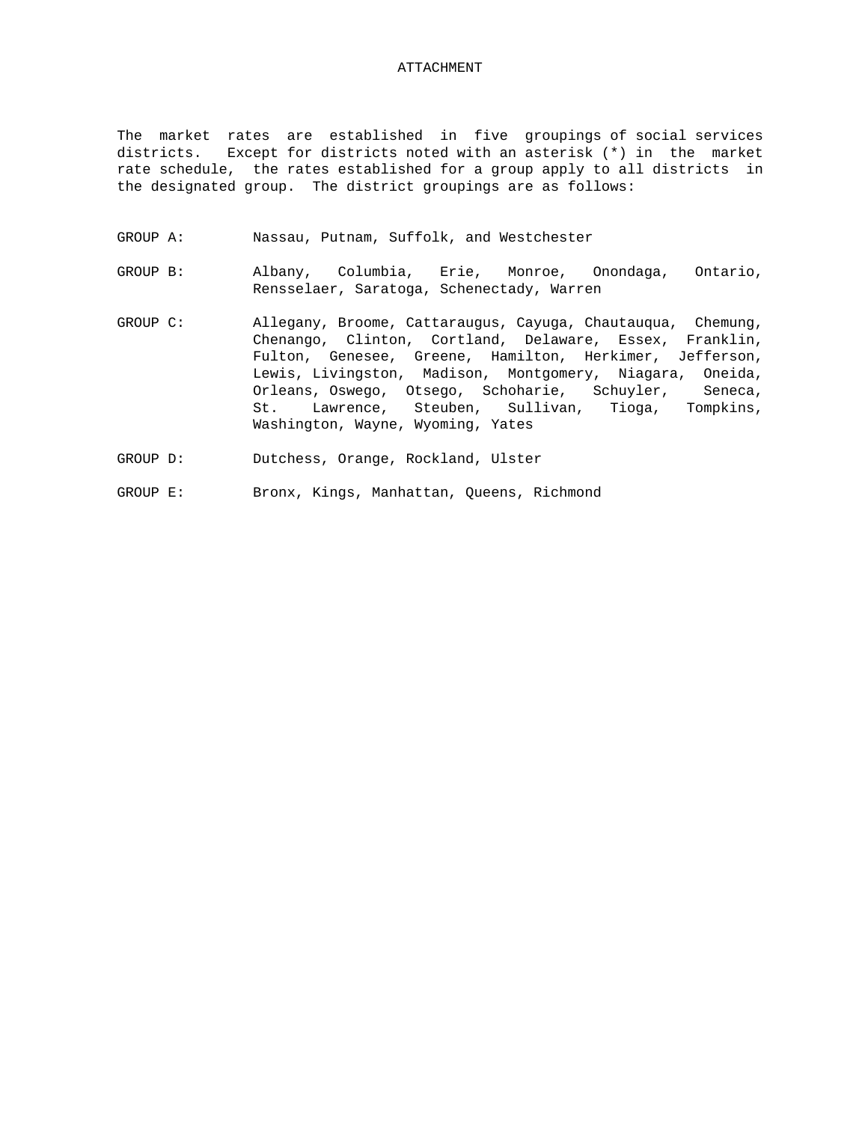## ATTACHMENT

The market rates are established in five groupings of social services districts. Except for districts noted with an asterisk (\*) in the market rate schedule, the rates established for a group apply to all districts in the designated group. The district groupings are as follows:

- GROUP A: Nassau, Putnam, Suffolk, and Westchester
- GROUP B: Albany, Columbia, Erie, Monroe, Onondaga, Ontario, Rensselaer, Saratoga, Schenectady, Warren
- GROUP C: Allegany, Broome, Cattaraugus, Cayuga, Chautauqua, Chemung, Chenango, Clinton, Cortland, Delaware, Essex, Franklin, Fulton, Genesee, Greene, Hamilton, Herkimer, Jefferson, Lewis, Livingston, Madison, Montgomery, Niagara, Oneida, Orleans, Oswego, Otsego, Schoharie, Schuyler, Seneca, St. Lawrence, Steuben, Sullivan, Tioga, Tompkins, Washington, Wayne, Wyoming, Yates
- GROUP D: Dutchess, Orange, Rockland, Ulster
- GROUP E: Bronx, Kings, Manhattan, Queens, Richmond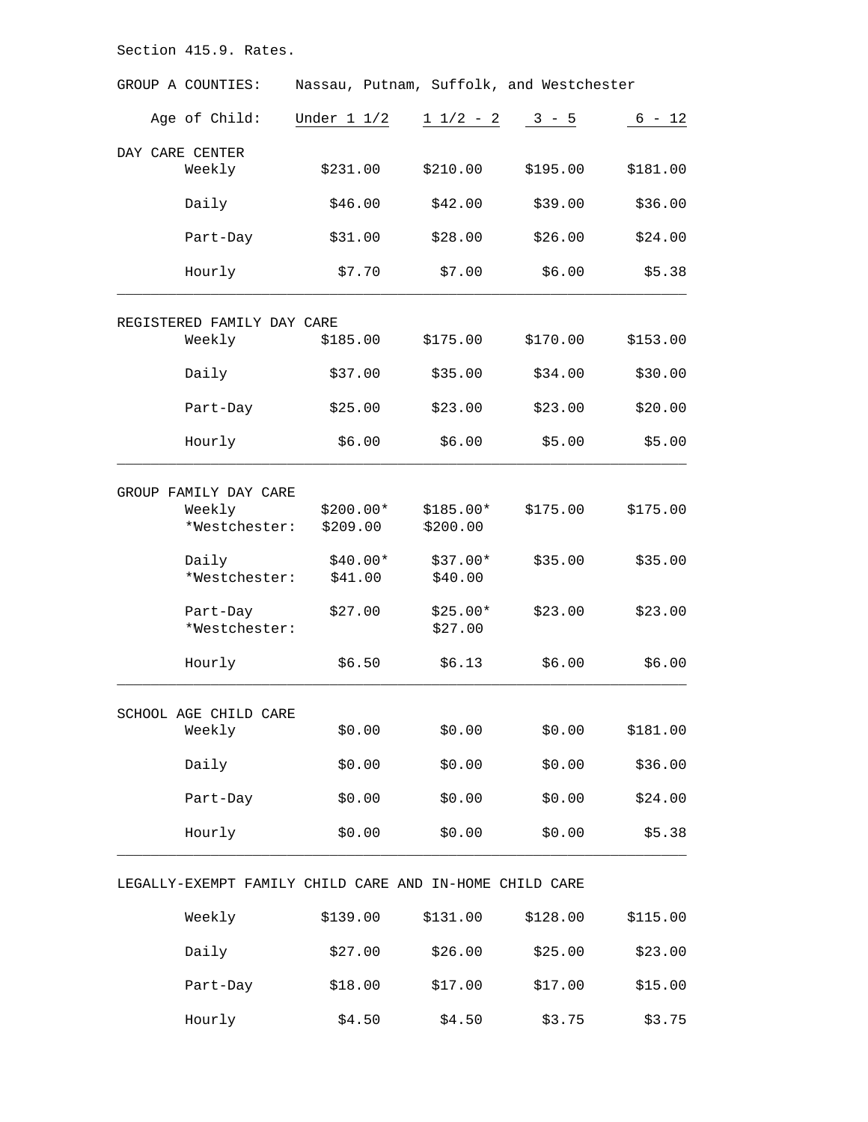| GROUP A COUNTIES:                                       | Nassau, Putnam, Suffolk, and Westchester |               |          |          |
|---------------------------------------------------------|------------------------------------------|---------------|----------|----------|
| Age of Child:                                           | Under $1\ 1/2$                           | $1 \t1/2 - 2$ | $3 - 5$  | $6 - 12$ |
| DAY CARE CENTER                                         |                                          |               |          |          |
| Weekly                                                  | \$231.00                                 | \$210.00      | \$195.00 | \$181.00 |
| Daily                                                   | \$46.00                                  | \$42.00       | \$39.00  | \$36.00  |
| Part-Day                                                | \$31.00                                  | \$28.00       | \$26.00  | \$24.00  |
| Hourly                                                  | \$7.70                                   | \$7.00        | \$6.00   | \$5.38   |
| REGISTERED FAMILY DAY CARE                              |                                          |               |          |          |
| Weekly                                                  | \$185.00                                 | \$175.00      | \$170.00 | \$153.00 |
| Daily                                                   | \$37.00                                  | \$35.00       | \$34.00  | \$30.00  |
| Part-Day                                                | \$25.00                                  | \$23.00       | \$23.00  | \$20.00  |
| Hourly                                                  | \$6.00                                   | \$6.00        | \$5.00   | \$5.00   |
| GROUP FAMILY DAY CARE                                   |                                          |               |          |          |
| Weekly                                                  | $$200.00*$                               | $$185.00*$    | \$175.00 | \$175.00 |
| *Westchester:                                           | \$209.00                                 | \$200.00      |          |          |
| Daily                                                   | $$40.00*$                                | $$37.00*$     | \$35.00  | \$35.00  |
| *Westchester:                                           | \$41.00                                  | \$40.00       |          |          |
| Part-Day                                                | \$27.00                                  | $$25.00*$     | \$23.00  | \$23.00  |
| *Westchester:                                           |                                          | \$27.00       |          |          |
| Hourly                                                  | \$6.50                                   | \$6.13        | \$6.00   | \$6.00   |
| SCHOOL AGE CHILD CARE                                   |                                          |               |          |          |
| Weekly                                                  | \$0.00                                   | \$0.00        | \$0.00   | \$181.00 |
| Daily                                                   | \$0.00                                   | \$0.00        | \$0.00   | \$36.00  |
| Part-Day                                                | \$0.00                                   | \$0.00        | \$0.00   | \$24.00  |
| Hourly                                                  | \$0.00                                   | \$0.00        | \$0.00   | \$5.38   |
| LEGALLY-EXEMPT FAMILY CHILD CARE AND IN-HOME CHILD CARE |                                          |               |          |          |

| Weekly   | \$139.00 | \$131.00 | \$128.00 | \$115.00 |
|----------|----------|----------|----------|----------|
| Daily    | \$27.00  | \$26.00  | \$25.00  | \$23.00  |
| Part-Day | \$18.00  | \$17.00  | \$17.00  | \$15.00  |
| Hourly   | \$4.50   | \$4.50   | \$3.75   | \$3.75   |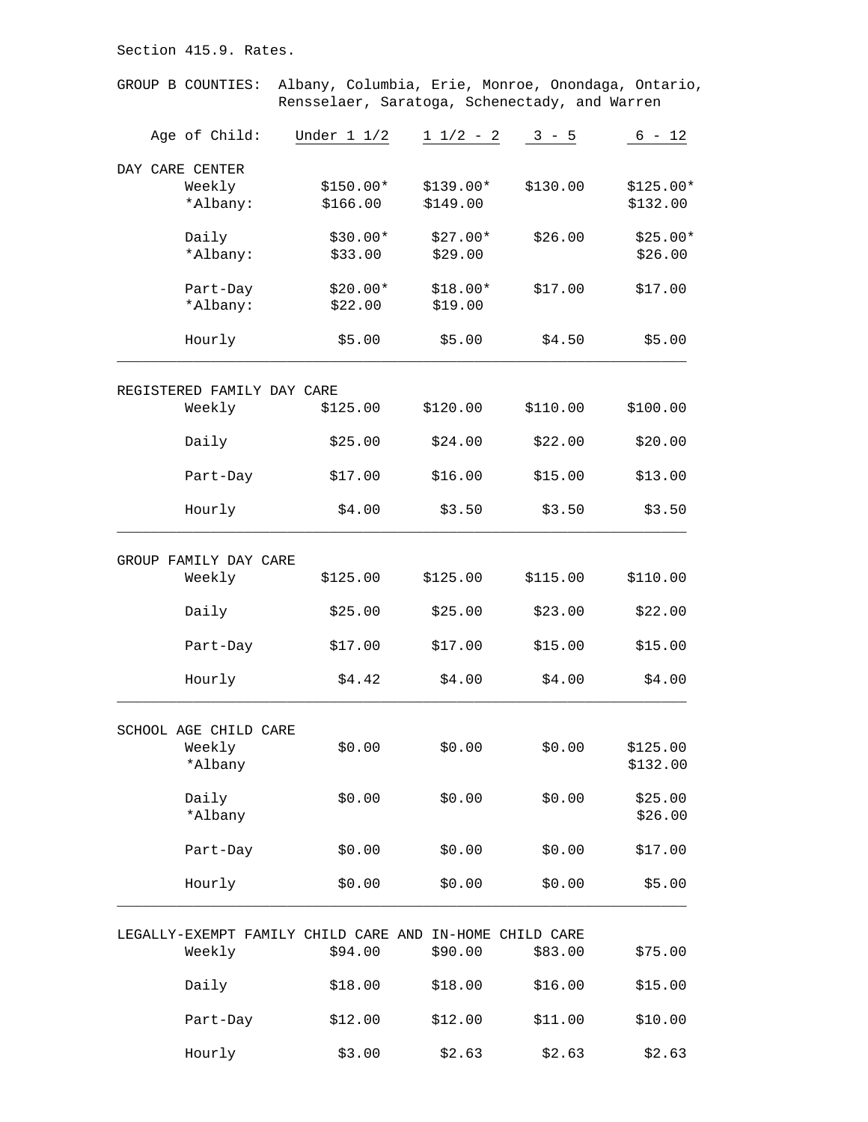GROUP B COUNTIES: Albany, Columbia, Erie, Monroe, Onondaga, Ontario, Rensselaer, Saratoga, Schenectady, and Warren Age of Child: Under 1 1/2 1 1/2 - 2 3 - 5 6 - 12 DAY CARE CENTER<br>Weekly<br>Albany: Weekly \$150.00\* \$139.00\* \$130.00 \$125.00\* \*Albany: \$166.00 \$149.00 \$132.00 Daily  $$30.00*$  \$27.00\* \$26.00 \$25.00\* \*Albany: \$33.00 \$29.00 \$26.00 Part-Day \$20.00\* \$18.00\* \$17.00 \$17.00 \*Albany: \$22.00 \$19.00 Hourly \$5.00 \$5.00 \$4.50 \$5.00  $\_$  ,  $\_$  ,  $\_$  ,  $\_$  ,  $\_$  ,  $\_$  ,  $\_$  ,  $\_$  ,  $\_$  ,  $\_$  ,  $\_$  ,  $\_$  ,  $\_$  ,  $\_$  ,  $\_$  ,  $\_$  ,  $\_$  ,  $\_$  ,  $\_$  ,  $\_$  ,  $\_$  ,  $\_$  ,  $\_$  ,  $\_$  ,  $\_$  ,  $\_$  ,  $\_$  ,  $\_$  ,  $\_$  ,  $\_$  ,  $\_$  ,  $\_$  ,  $\_$  ,  $\_$  ,  $\_$  ,  $\_$  ,  $\_$  , REGISTERED FAMILY DAY CARE Weekly \$125.00 \$120.00 \$110.00 \$100.00 Daily \$25.00 \$24.00 \$22.00 \$20.00 Part-Day \$17.00 \$16.00 \$15.00 \$13.00 Hourly \$4.00 \$3.50 \$3.50 \$3.50  $\_$  ,  $\_$  ,  $\_$  ,  $\_$  ,  $\_$  ,  $\_$  ,  $\_$  ,  $\_$  ,  $\_$  ,  $\_$  ,  $\_$  ,  $\_$  ,  $\_$  ,  $\_$  ,  $\_$  ,  $\_$  ,  $\_$  ,  $\_$  ,  $\_$  ,  $\_$  ,  $\_$  ,  $\_$  ,  $\_$  ,  $\_$  ,  $\_$  ,  $\_$  ,  $\_$  ,  $\_$  ,  $\_$  ,  $\_$  ,  $\_$  ,  $\_$  ,  $\_$  ,  $\_$  ,  $\_$  ,  $\_$  ,  $\_$  , GROUP FAMILY DAY CARE Weekly \$125.00 \$125.00 \$115.00 \$110.00 Daily \$25.00 \$25.00 \$23.00 \$22.00 Part-Day \$17.00 \$17.00 \$15.00 \$15.00 Hourly \$4.42 \$4.00 \$4.00 \$4.00  $\_$  ,  $\_$  ,  $\_$  ,  $\_$  ,  $\_$  ,  $\_$  ,  $\_$  ,  $\_$  ,  $\_$  ,  $\_$  ,  $\_$  ,  $\_$  ,  $\_$  ,  $\_$  ,  $\_$  ,  $\_$  ,  $\_$  ,  $\_$  ,  $\_$  ,  $\_$  ,  $\_$  ,  $\_$  ,  $\_$  ,  $\_$  ,  $\_$  ,  $\_$  ,  $\_$  ,  $\_$  ,  $\_$  ,  $\_$  ,  $\_$  ,  $\_$  ,  $\_$  ,  $\_$  ,  $\_$  ,  $\_$  ,  $\_$  , SCHOOL AGE CHILD CARE Weekly \$0.00 \$0.00 \$0.00 \$125.00  $*$ Albany  $*$ Albany  $*$ Albany  $*$ Daily \$0.00 \$0.00 \$0.00 \$25.00  $\star$ Albany  $\star$ Part-Day \$0.00 \$0.00 \$0.00 \$17.00 Hourly \$0.00 \$0.00 \$0.00 \$5.00  $\_$  ,  $\_$  ,  $\_$  ,  $\_$  ,  $\_$  ,  $\_$  ,  $\_$  ,  $\_$  ,  $\_$  ,  $\_$  ,  $\_$  ,  $\_$  ,  $\_$  ,  $\_$  ,  $\_$  ,  $\_$  ,  $\_$  ,  $\_$  ,  $\_$  ,  $\_$  ,  $\_$  ,  $\_$  ,  $\_$  ,  $\_$  ,  $\_$  ,  $\_$  ,  $\_$  ,  $\_$  ,  $\_$  ,  $\_$  ,  $\_$  ,  $\_$  ,  $\_$  ,  $\_$  ,  $\_$  ,  $\_$  ,  $\_$  , LEGALLY-EXEMPT FAMILY CHILD CARE AND IN-HOME CHILD CARE Weekly \$94.00 \$90.00 \$83.00 \$75.00 Daily \$18.00 \$18.00 \$16.00 \$15.00

Part-Day \$12.00 \$12.00 \$11.00 \$10.00

Hourly \$3.00 \$2.63 \$2.63 \$2.63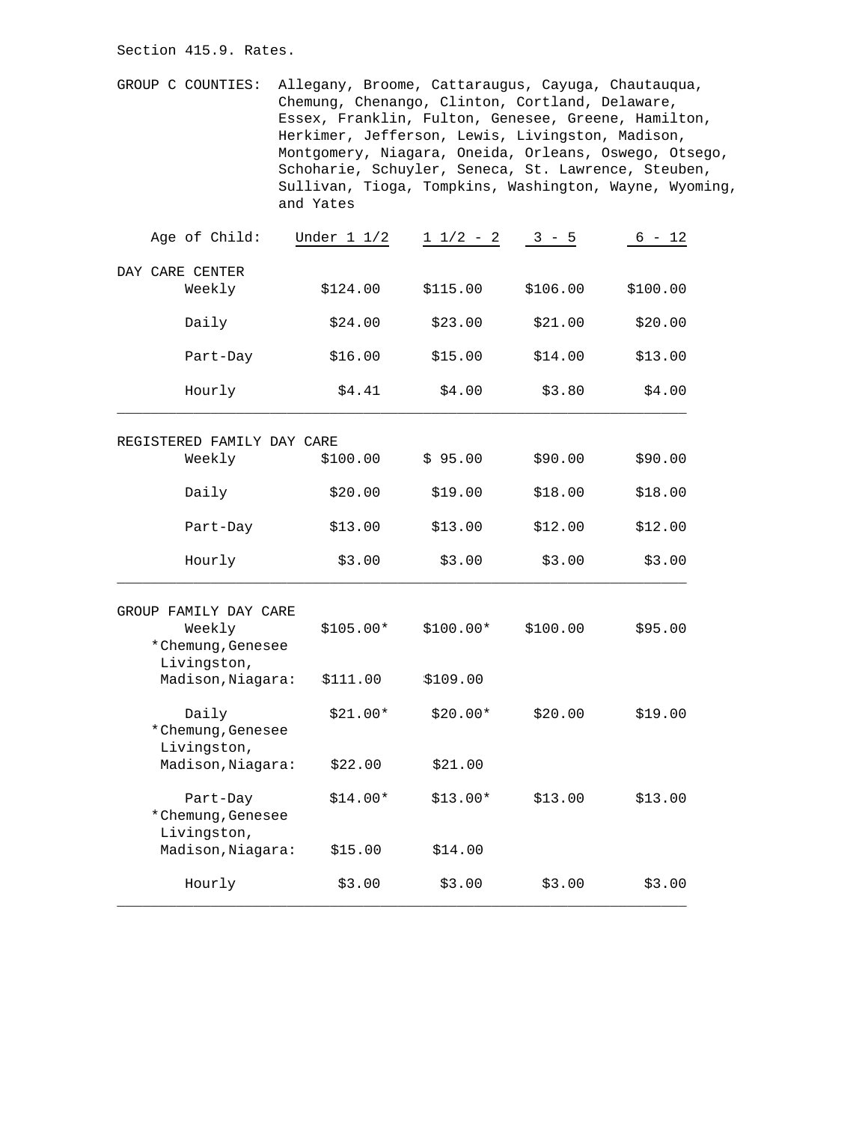GROUP C COUNTIES: Allegany, Broome, Cattaraugus, Cayuga, Chautauqua, Chemung, Chenango, Clinton, Cortland, Delaware, Essex, Franklin, Fulton, Genesee, Greene, Hamilton, Herkimer, Jefferson, Lewis, Livingston, Madison, Montgomery, Niagara, Oneida, Orleans, Oswego, Otsego, Schoharie, Schuyler, Seneca, St. Lawrence, Steuben, Sullivan, Tioga, Tompkins, Washington, Wayne, Wyoming, and Yates

| Age of Child:                                | Under $1 \t1/2$ | $1 1/2 - 2$ | $3 - 5$  | $6 - 12$ |
|----------------------------------------------|-----------------|-------------|----------|----------|
| DAY CARE CENTER                              |                 |             |          |          |
| Weekly                                       | \$124.00        | \$115.00    | \$106.00 | \$100.00 |
| Daily                                        | \$24.00         | \$23.00     | \$21.00  | \$20.00  |
| Part-Day                                     | \$16.00         | \$15.00     | \$14.00  | \$13.00  |
| Hourly                                       | \$4.41          | \$4.00      | \$3.80   | \$4.00   |
| REGISTERED FAMILY DAY CARE                   |                 |             |          |          |
| Weekly                                       | \$100.00        | \$95.00     | \$90.00  | \$90.00  |
| Daily                                        | \$20.00         | \$19.00     | \$18.00  | \$18.00  |
| Part-Day                                     | \$13.00         | \$13.00     | \$12.00  | \$12.00  |
| Hourly                                       | \$3.00          | \$3.00      | \$3.00   | \$3.00   |
| GROUP FAMILY DAY CARE                        |                 |             |          |          |
| Weekly<br>*Chemung, Genesee                  | $$105.00*$      | $$100.00*$  | \$100.00 | \$95.00  |
| Livingston,<br>Madison, Niagara:             | \$111.00        | \$109.00    |          |          |
| Daily<br>*Chemung, Genesee<br>Livingston,    | $$21.00*$       | $$20.00*$   | \$20.00  | \$19.00  |
| Madison, Niagara:                            | \$22.00         | \$21.00     |          |          |
| Part-Day<br>*Chemung, Genesee<br>Livingston, | $$14.00*$       | $$13.00*$   | \$13.00  | \$13.00  |
| Madison, Niagara:                            | \$15.00         | \$14.00     |          |          |
| Hourly                                       | \$3.00          | \$3.00      | \$3.00   | \$3.00   |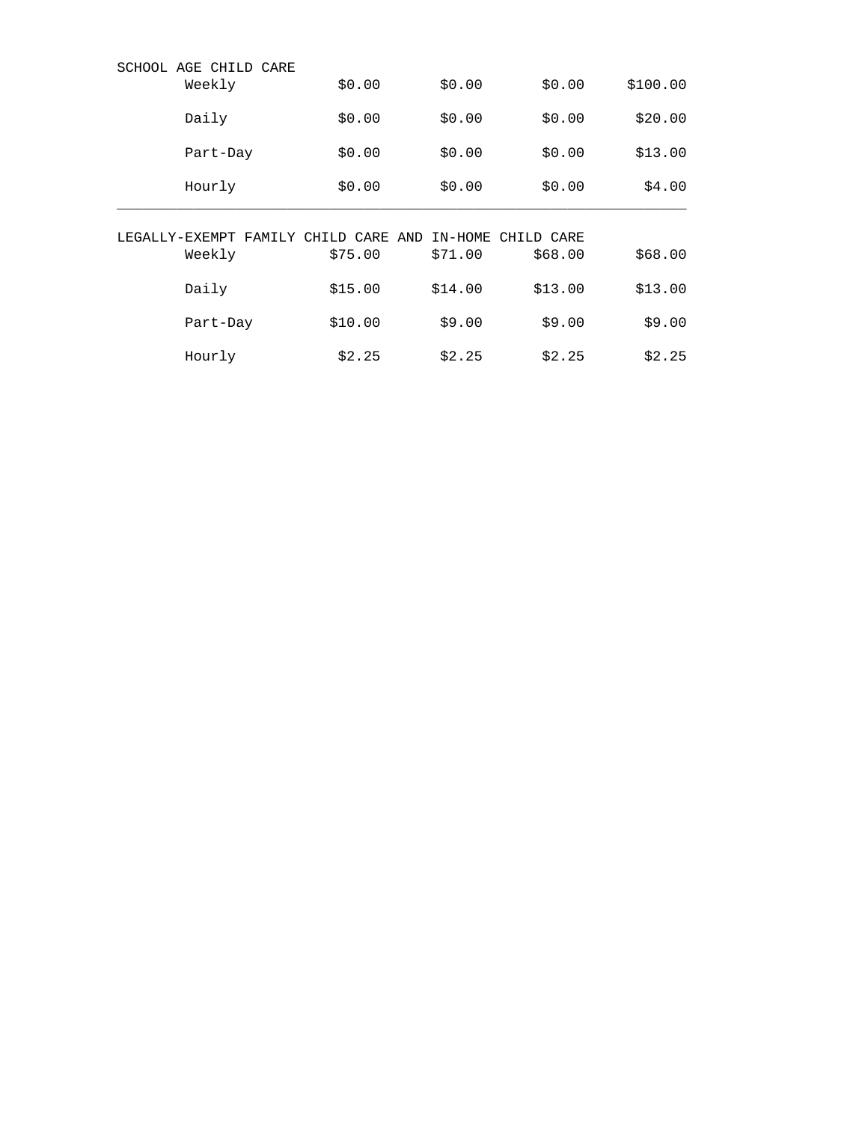|                | SCHOOL AGE CHILD CARE<br>Weekly | \$0.00            | \$0.00  | \$0.00     | \$100.00 |
|----------------|---------------------------------|-------------------|---------|------------|----------|
|                | Daily                           | \$0.00            | \$0.00  | \$0.00     | \$20.00  |
|                | Part-Day                        | \$0.00            | \$0.00  | \$0.00     | \$13.00  |
|                | Hourly                          | \$0.00            | \$0.00  | \$0.00     | \$4.00   |
|                |                                 |                   |         |            |          |
|                |                                 |                   |         |            |          |
| LEGALLY-EXEMPT | FAMILY                          | CARE AND<br>CHILD | IN-HOME | CHILD CARE |          |
|                | Weekly                          | \$75.00           | \$71.00 | \$68.00    | \$68.00  |
|                | Daily                           | \$15.00           | \$14.00 | \$13.00    | \$13.00  |
|                | Part-Day                        | \$10.00           | \$9.00  | \$9.00     | \$9.00   |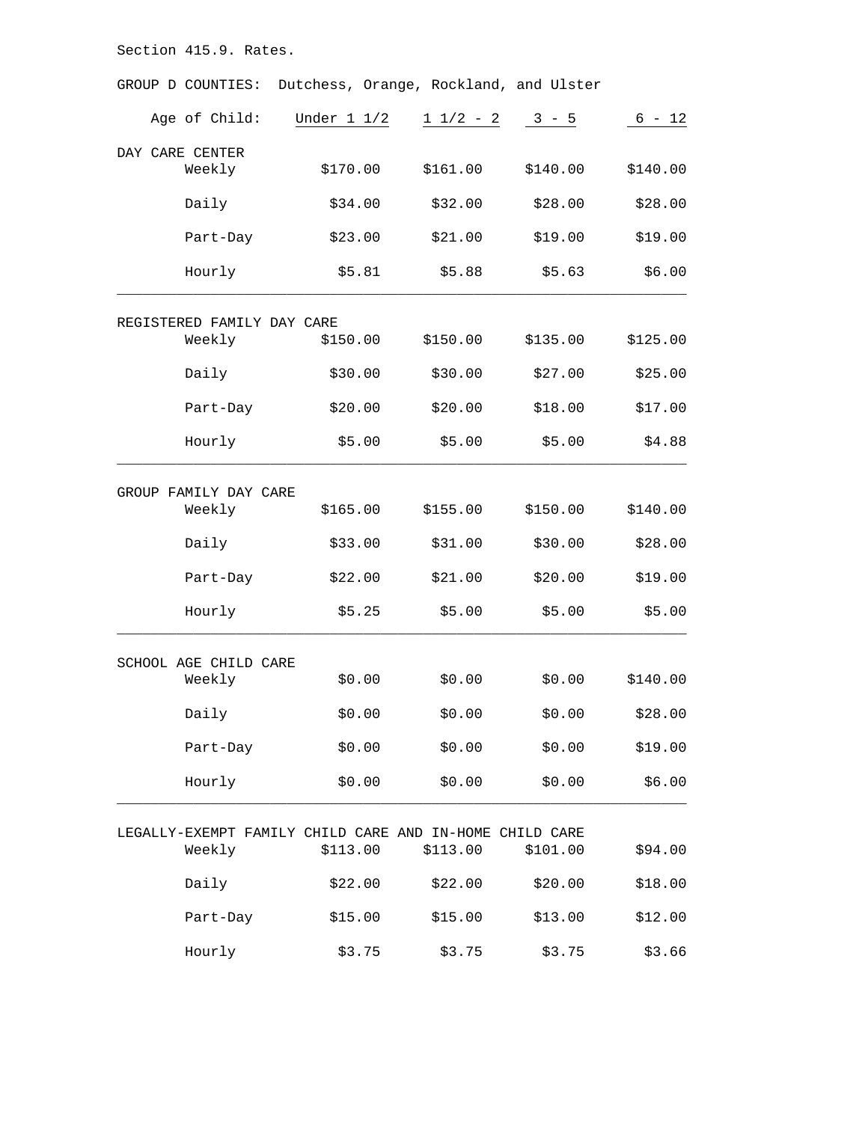GROUP D COUNTIES: Dutchess, Orange, Rockland, and Ulster Age of Child: Under  $1 \frac{1}{2}$   $\frac{1 \frac{1}{2} - 2}{3 - 5}$   $\frac{6 - 12}{6}$ DAY CARE CENTER Weekly \$170.00 \$161.00 \$140.00 \$140.00 Daily \$34.00 \$32.00 \$28.00 \$28.00 Part-Day \$23.00 \$21.00 \$19.00 \$19.00 Hourly \$5.81 \$5.88 \$5.63 \$6.00  $\_$  ,  $\_$  ,  $\_$  ,  $\_$  ,  $\_$  ,  $\_$  ,  $\_$  ,  $\_$  ,  $\_$  ,  $\_$  ,  $\_$  ,  $\_$  ,  $\_$  ,  $\_$  ,  $\_$  ,  $\_$  ,  $\_$  ,  $\_$  ,  $\_$  ,  $\_$  ,  $\_$  ,  $\_$  ,  $\_$  ,  $\_$  ,  $\_$  ,  $\_$  ,  $\_$  ,  $\_$  ,  $\_$  ,  $\_$  ,  $\_$  ,  $\_$  ,  $\_$  ,  $\_$  ,  $\_$  ,  $\_$  ,  $\_$  , REGISTERED FAMILY DAY CARE Weekly \$150.00 \$150.00 \$135.00 \$125.00 Daily \$30.00 \$30.00 \$27.00 \$25.00 Part-Day \$20.00 \$20.00 \$18.00 \$17.00 Hourly \$5.00 \$5.00 \$5.00 \$4.88  $\_$  ,  $\_$  ,  $\_$  ,  $\_$  ,  $\_$  ,  $\_$  ,  $\_$  ,  $\_$  ,  $\_$  ,  $\_$  ,  $\_$  ,  $\_$  ,  $\_$  ,  $\_$  ,  $\_$  ,  $\_$  ,  $\_$  ,  $\_$  ,  $\_$  ,  $\_$  ,  $\_$  ,  $\_$  ,  $\_$  ,  $\_$  ,  $\_$  ,  $\_$  ,  $\_$  ,  $\_$  ,  $\_$  ,  $\_$  ,  $\_$  ,  $\_$  ,  $\_$  ,  $\_$  ,  $\_$  ,  $\_$  ,  $\_$  , GROUP FAMILY DAY CARE Weekly \$165.00 \$155.00 \$150.00 \$140.00 Daily \$33.00 \$31.00 \$30.00 \$28.00 Part-Day \$22.00 \$21.00 \$20.00 \$19.00 Hourly \$5.25 \$5.00 \$5.00 \$5.00  $\_$  ,  $\_$  ,  $\_$  ,  $\_$  ,  $\_$  ,  $\_$  ,  $\_$  ,  $\_$  ,  $\_$  ,  $\_$  ,  $\_$  ,  $\_$  ,  $\_$  ,  $\_$  ,  $\_$  ,  $\_$  ,  $\_$  ,  $\_$  ,  $\_$  ,  $\_$  ,  $\_$  ,  $\_$  ,  $\_$  ,  $\_$  ,  $\_$  ,  $\_$  ,  $\_$  ,  $\_$  ,  $\_$  ,  $\_$  ,  $\_$  ,  $\_$  ,  $\_$  ,  $\_$  ,  $\_$  ,  $\_$  ,  $\_$  , SCHOOL AGE CHILD CARE Weekly \$0.00 \$0.00 \$0.00 \$140.00 Daily \$0.00 \$0.00 \$0.00 \$28.00 Part-Day \$0.00 \$0.00 \$0.00 \$19.00 Hourly \$0.00 \$0.00 \$0.00 \$6.00  $\_$  ,  $\_$  ,  $\_$  ,  $\_$  ,  $\_$  ,  $\_$  ,  $\_$  ,  $\_$  ,  $\_$  ,  $\_$  ,  $\_$  ,  $\_$  ,  $\_$  ,  $\_$  ,  $\_$  ,  $\_$  ,  $\_$  ,  $\_$  ,  $\_$  ,  $\_$  ,  $\_$  ,  $\_$  ,  $\_$  ,  $\_$  ,  $\_$  ,  $\_$  ,  $\_$  ,  $\_$  ,  $\_$  ,  $\_$  ,  $\_$  ,  $\_$  ,  $\_$  ,  $\_$  ,  $\_$  ,  $\_$  ,  $\_$  , LEGALLY-EXEMPT FAMILY CHILD CARE AND IN-HOME CHILD CARE Weekly \$113.00 \$113.00 \$101.00 \$94.00 Daily \$22.00 \$22.00 \$20.00 \$18.00 Part-Day \$15.00 \$15.00 \$13.00 \$12.00 Hourly \$3.75 \$3.75 \$3.75 \$3.66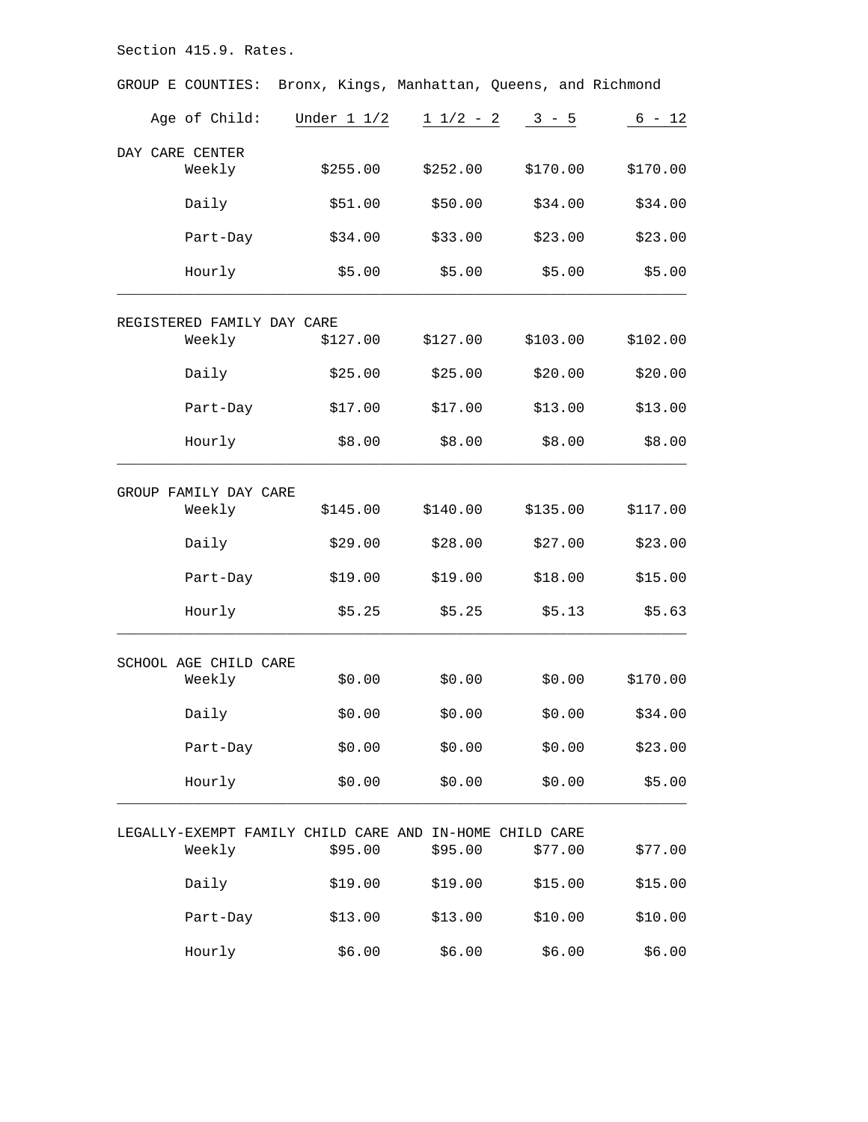| GROUP E COUNTIES:                                       |                | Bronx, Kings, Manhattan, Queens, and Richmond |          |          |
|---------------------------------------------------------|----------------|-----------------------------------------------|----------|----------|
| Age of Child:                                           | Under $1\ 1/2$ | $1 \t1/2 - 2$                                 | $3 - 5$  | $6 - 12$ |
| DAY CARE CENTER<br>Weekly                               | \$255.00       | \$252.00                                      | \$170.00 | \$170.00 |
|                                                         | \$51.00        | \$50.00                                       | \$34.00  |          |
| Daily                                                   |                |                                               |          | \$34.00  |
| Part-Day                                                | \$34.00        | \$33.00                                       | \$23.00  | \$23.00  |
| Hourly                                                  | \$5.00         | \$5.00                                        | \$5.00   | \$5.00   |
| REGISTERED FAMILY DAY CARE                              |                |                                               |          |          |
| Weekly                                                  | \$127.00       | \$127.00                                      | \$103.00 | \$102.00 |
| Daily                                                   | \$25.00        | \$25.00                                       | \$20.00  | \$20.00  |
| Part-Day                                                | \$17.00        | \$17.00                                       | \$13.00  | \$13.00  |
| Hourly                                                  | \$8.00         | \$8.00                                        | \$8.00   | \$8.00   |
| GROUP FAMILY DAY CARE                                   |                |                                               |          |          |
| Weekly                                                  | \$145.00       | \$140.00                                      | \$135.00 | \$117.00 |
| Daily                                                   | \$29.00        | \$28.00                                       | \$27.00  | \$23.00  |
| Part-Day                                                | \$19.00        | \$19.00                                       | \$18.00  | \$15.00  |
| Hourly                                                  | \$5.25         | \$5.25                                        | \$5.13   | \$5.63   |
| SCHOOL AGE CHILD CARE                                   |                |                                               |          |          |
| Weekly                                                  | \$0.00         | \$0.00                                        | \$0.00   | \$170.00 |
| Daily                                                   | \$0.00         | \$0.00                                        | \$0.00   | \$34.00  |
| Part-Day                                                | \$0.00         | \$0.00                                        | \$0.00   | \$23.00  |
| Hourly                                                  | \$0.00         | \$0.00                                        | \$0.00   | \$5.00   |
| LEGALLY-EXEMPT FAMILY CHILD CARE AND IN-HOME CHILD CARE |                |                                               |          |          |
| Weekly                                                  | \$95.00        | \$95.00                                       | \$77.00  | \$77.00  |
| Daily                                                   | \$19.00        | \$19.00                                       | \$15.00  | \$15.00  |
| Part-Day                                                | \$13.00        | \$13.00                                       | \$10.00  | \$10.00  |
| Hourly                                                  | \$6.00         | \$6.00                                        | \$6.00   | \$6.00   |